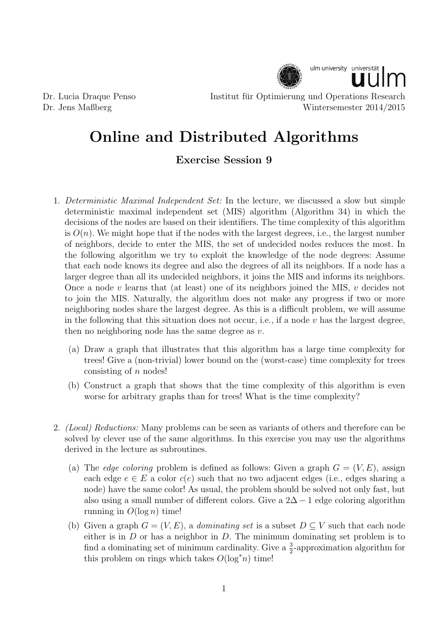

Dr. Lucia Draque Penso Institut fur Optimierung und Operations Research ¨ Dr. Jens Maßberg Wintersemester 2014/2015

## Online and Distributed Algorithms

## Exercise Session 9

- 1. Deterministic Maximal Independent Set: In the lecture, we discussed a slow but simple deterministic maximal independent set (MIS) algorithm (Algorithm 34) in which the decisions of the nodes are based on their identifiers. The time complexity of this algorithm is  $O(n)$ . We might hope that if the nodes with the largest degrees, i.e., the largest number of neighbors, decide to enter the MIS, the set of undecided nodes reduces the most. In the following algorithm we try to exploit the knowledge of the node degrees: Assume that each node knows its degree and also the degrees of all its neighbors. If a node has a larger degree than all its undecided neighbors, it joins the MIS and informs its neighbors. Once a node  $v$  learns that (at least) one of its neighbors joined the MIS,  $v$  decides not to join the MIS. Naturally, the algorithm does not make any progress if two or more neighboring nodes share the largest degree. As this is a difficult problem, we will assume in the following that this situation does not occur, i.e., if a node  $v$  has the largest degree, then no neighboring node has the same degree as  $v$ .
	- (a) Draw a graph that illustrates that this algorithm has a large time complexity for trees! Give a (non-trivial) lower bound on the (worst-case) time complexity for trees consisting of  $n$  nodes!
	- (b) Construct a graph that shows that the time complexity of this algorithm is even worse for arbitrary graphs than for trees! What is the time complexity?
- 2. (Local) Reductions: Many problems can be seen as variants of others and therefore can be solved by clever use of the same algorithms. In this exercise you may use the algorithms derived in the lecture as subroutines.
	- (a) The *edge coloring* problem is defined as follows: Given a graph  $G = (V, E)$ , assign each edge  $e \in E$  a color  $c(e)$  such that no two adjacent edges (i.e., edges sharing a node) have the same color! As usual, the problem should be solved not only fast, but also using a small number of different colors. Give a  $2\Delta - 1$  edge coloring algorithm running in  $O(\log n)$  time!
	- (b) Given a graph  $G = (V, E)$ , a *dominating set* is a subset  $D \subseteq V$  such that each node either is in  $D$  or has a neighbor in  $D$ . The minimum dominating set problem is to find a dominating set of minimum cardinality. Give a  $\frac{3}{2}$ -approximation algorithm for this problem on rings which takes  $O(\log^* n)$  time!